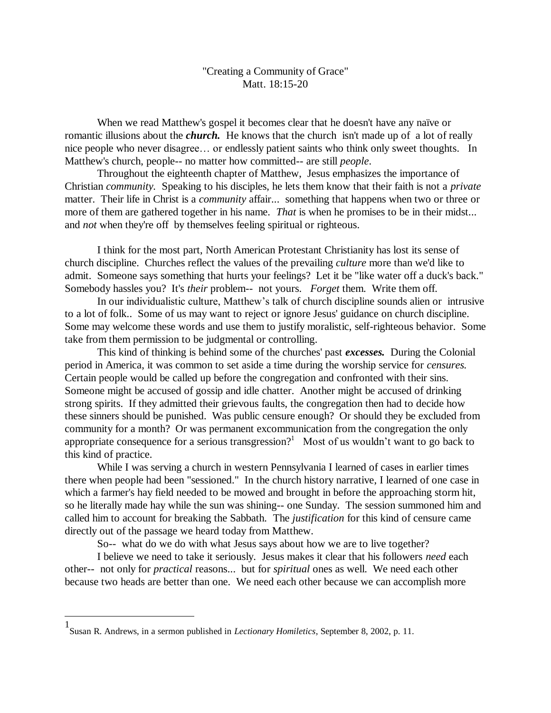## "Creating a Community of Grace" Matt. 18:15-20

When we read Matthew's gospel it becomes clear that he doesn't have any naïve or romantic illusions about the *church.* He knows that the church isn't made up of a lot of really nice people who never disagree… or endlessly patient saints who think only sweet thoughts. In Matthew's church, people-- no matter how committed-- are still *people*.

Throughout the eighteenth chapter of Matthew, Jesus emphasizes the importance of Christian *community.* Speaking to his disciples, he lets them know that their faith is not a *private* matter. Their life in Christ is a *community* affair... something that happens when two or three or more of them are gathered together in his name. *That* is when he promises to be in their midst... and *not* when they're off by themselves feeling spiritual or righteous.

I think for the most part, North American Protestant Christianity has lost its sense of church discipline. Churches reflect the values of the prevailing *culture* more than we'd like to admit. Someone says something that hurts your feelings? Let it be "like water off a duck's back." Somebody hassles you? It's *their* problem-- not yours. *Forget* them. Write them off.

In our individualistic culture, Matthew's talk of church discipline sounds alien or intrusive to a lot of folk.. Some of us may want to reject or ignore Jesus' guidance on church discipline. Some may welcome these words and use them to justify moralistic, self-righteous behavior. Some take from them permission to be judgmental or controlling.

This kind of thinking is behind some of the churches' past *excesses.* During the Colonial period in America, it was common to set aside a time during the worship service for *censures.* Certain people would be called up before the congregation and confronted with their sins. Someone might be accused of gossip and idle chatter. Another might be accused of drinking strong spirits. If they admitted their grievous faults, the congregation then had to decide how these sinners should be punished. Was public censure enough? Or should they be excluded from community for a month? Or was permanent excommunication from the congregation the only appropriate consequence for a serious transgression?<sup>1</sup> Most of us wouldn't want to go back to this kind of practice.

While I was serving a church in western Pennsylvania I learned of cases in earlier times there when people had been "sessioned." In the church history narrative, I learned of one case in which a farmer's hay field needed to be mowed and brought in before the approaching storm hit, so he literally made hay while the sun was shining-- one Sunday. The session summoned him and called him to account for breaking the Sabbath. The *justification* for this kind of censure came directly out of the passage we heard today from Matthew.

So-- what do we do with what Jesus says about how we are to live together?

I believe we need to take it seriously. Jesus makes it clear that his followers *need* each other-- not only for *practical* reasons... but for *spiritual* ones as well. We need each other because two heads are better than one. We need each other because we can accomplish more

 $\overline{a}$ 

<sup>1</sup> Susan R. Andrews, in a sermon published in *Lectionary Homiletics*, September 8, 2002, p. 11.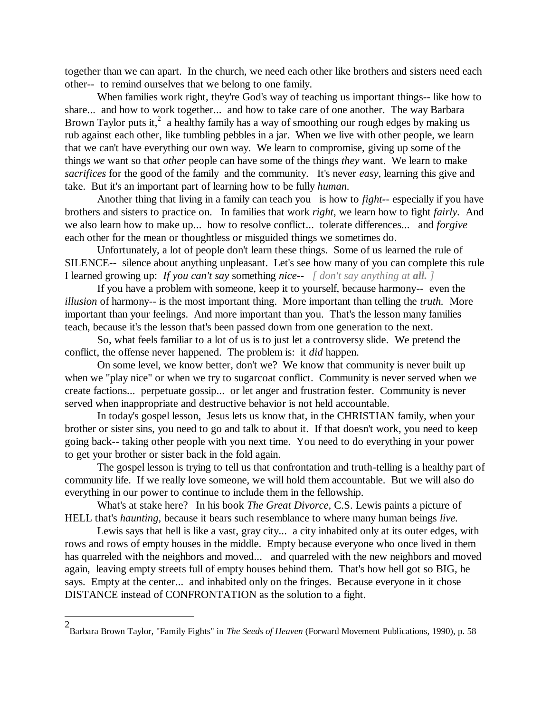together than we can apart. In the church, we need each other like brothers and sisters need each other-- to remind ourselves that we belong to one family.

When families work right, they're God's way of teaching us important things-- like how to share... and how to work together... and how to take care of one another. The way Barbara Brown Taylor puts it,<sup>2</sup> a healthy family has a way of smoothing our rough edges by making us rub against each other, like tumbling pebbles in a jar. When we live with other people, we learn that we can't have everything our own way. We learn to compromise, giving up some of the things *we* want so that *other* people can have some of the things *they* want. We learn to make *sacrifices* for the good of the family and the community. It's never *easy*, learning this give and take. But it's an important part of learning how to be fully *human.*

Another thing that living in a family can teach you is how to *fight-*- especially if you have brothers and sisters to practice on. In families that work *right*, we learn how to fight *fairly.* And we also learn how to make up... how to resolve conflict... tolerate differences... and *forgive* each other for the mean or thoughtless or misguided things we sometimes do.

Unfortunately, a lot of people don't learn these things. Some of us learned the rule of SILENCE-- silence about anything unpleasant. Let's see how many of you can complete this rule I learned growing up: *If you can't say* something *nice-- [ don't say anything at all. ]* 

If you have a problem with someone, keep it to yourself, because harmony-- even the *illusion* of harmony-- is the most important thing. More important than telling the *truth.* More important than your feelings. And more important than you. That's the lesson many families teach, because it's the lesson that's been passed down from one generation to the next.

So, what feels familiar to a lot of us is to just let a controversy slide. We pretend the conflict, the offense never happened. The problem is: it *did* happen.

On some level, we know better, don't we? We know that community is never built up when we "play nice" or when we try to sugarcoat conflict. Community is never served when we create factions... perpetuate gossip... or let anger and frustration fester. Community is never served when inappropriate and destructive behavior is not held accountable.

In today's gospel lesson, Jesus lets us know that, in the CHRISTIAN family, when your brother or sister sins, you need to go and talk to about it. If that doesn't work, you need to keep going back-- taking other people with you next time. You need to do everything in your power to get your brother or sister back in the fold again.

The gospel lesson is trying to tell us that confrontation and truth-telling is a healthy part of community life. If we really love someone, we will hold them accountable. But we will also do everything in our power to continue to include them in the fellowship.

What's at stake here? In his book *The Great Divorce,* C.S. Lewis paints a picture of HELL that's *haunting,* because it bears such resemblance to where many human beings *live.*

Lewis says that hell is like a vast, gray city... a city inhabited only at its outer edges, with rows and rows of empty houses in the middle. Empty because everyone who once lived in them has quarreled with the neighbors and moved... and quarreled with the new neighbors and moved again, leaving empty streets full of empty houses behind them. That's how hell got so BIG, he says. Empty at the center... and inhabited only on the fringes. Because everyone in it chose DISTANCE instead of CONFRONTATION as the solution to a fight.

 $\overline{a}$ 

<sup>2</sup> Barbara Brown Taylor, "Family Fights" in *The Seeds of Heaven* (Forward Movement Publications, 1990), p. 58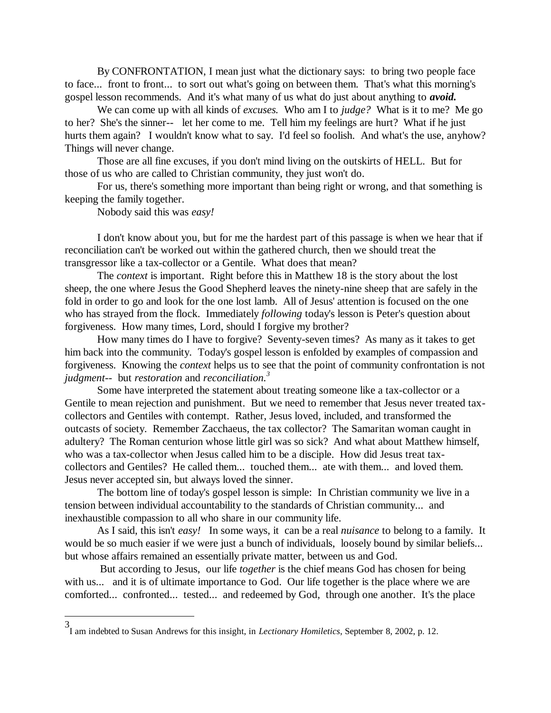By CONFRONTATION, I mean just what the dictionary says: to bring two people face to face... front to front... to sort out what's going on between them. That's what this morning's gospel lesson recommends. And it's what many of us what do just about anything to *avoid.*

We can come up with all kinds of *excuses.* Who am I to *judge?* What is it to me? Me go to her? She's the sinner-- let her come to me. Tell him my feelings are hurt? What if he just hurts them again? I wouldn't know what to say. I'd feel so foolish. And what's the use, anyhow? Things will never change.

Those are all fine excuses, if you don't mind living on the outskirts of HELL. But for those of us who are called to Christian community, they just won't do.

For us, there's something more important than being right or wrong, and that something is keeping the family together.

Nobody said this was *easy!*

 $\overline{a}$ 

I don't know about you, but for me the hardest part of this passage is when we hear that if reconciliation can't be worked out within the gathered church, then we should treat the transgressor like a tax-collector or a Gentile. What does that mean?

The *context* is important. Right before this in Matthew 18 is the story about the lost sheep, the one where Jesus the Good Shepherd leaves the ninety-nine sheep that are safely in the fold in order to go and look for the one lost lamb. All of Jesus' attention is focused on the one who has strayed from the flock. Immediately *following* today's lesson is Peter's question about forgiveness. How many times, Lord, should I forgive my brother?

How many times do I have to forgive? Seventy-seven times? As many as it takes to get him back into the community. Today's gospel lesson is enfolded by examples of compassion and forgiveness. Knowing the *context* helps us to see that the point of community confrontation is not *judgment*-- but *restoration* and *reconciliation.<sup>3</sup>*

Some have interpreted the statement about treating someone like a tax-collector or a Gentile to mean rejection and punishment. But we need to remember that Jesus never treated taxcollectors and Gentiles with contempt. Rather, Jesus loved, included, and transformed the outcasts of society. Remember Zacchaeus, the tax collector? The Samaritan woman caught in adultery? The Roman centurion whose little girl was so sick? And what about Matthew himself, who was a tax-collector when Jesus called him to be a disciple. How did Jesus treat taxcollectors and Gentiles? He called them... touched them... ate with them... and loved them. Jesus never accepted sin, but always loved the sinner.

The bottom line of today's gospel lesson is simple: In Christian community we live in a tension between individual accountability to the standards of Christian community... and inexhaustible compassion to all who share in our community life.

As I said, this isn't *easy!* In some ways, it can be a real *nuisance* to belong to a family. It would be so much easier if we were just a bunch of individuals, loosely bound by similar beliefs... but whose affairs remained an essentially private matter, between us and God.

But according to Jesus, our life *together* is the chief means God has chosen for being with us... and it is of ultimate importance to God. Our life together is the place where we are comforted... confronted... tested... and redeemed by God, through one another. It's the place

<sup>3</sup> I am indebted to Susan Andrews for this insight, in *Lectionary Homiletics*, September 8, 2002, p. 12.